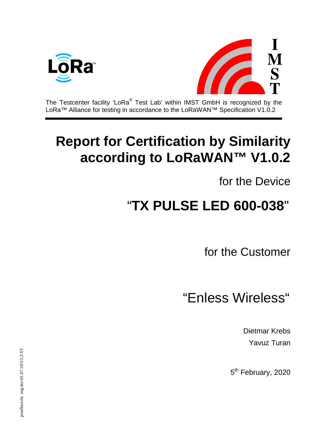



The Testcenter facility 'LoRa® Test Lab' within IMST GmbH is recognized by the LoRa™ Alliance for testing in accordance to the LoRaWAN™ Specification V1.0.2

## **Report for Certification by Similarity according to LoRaWAN™ V1.0.2**

for the Device

## "**TX PULSE LED 600-038**"

for the Customer

"Enless Wireless"

Dietmar Krebs Yavuz Turan

5<sup>th</sup> February, 2020